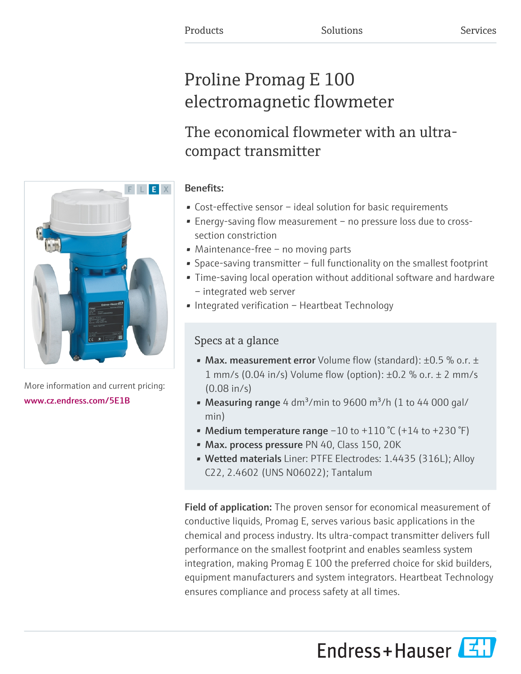# Proline Promag E 100 electromagnetic flowmeter

# The economical flowmeter with an ultracompact transmitter

# Benefits:

- Cost-effective sensor ideal solution for basic requirements
- Energy-saving flow measurement no pressure loss due to crosssection constriction
- Maintenance-free no moving parts
- Space-saving transmitter full functionality on the smallest footprint
- Time-saving local operation without additional software and hardware – integrated web server
- Integrated verification Heartbeat Technology

# Specs at a glance

- Max. measurement error Volume flow (standard):  $\pm 0.5$  % o.r.  $\pm$ 1 mm/s (0.04 in/s) Volume flow (option): ±0.2 % o.r. ± 2 mm/s (0.08 in/s)
- Measuring range 4 dm<sup>3</sup>/min to 9600 m<sup>3</sup>/h (1 to 44 000 gal/ min)
- Medium temperature range  $-10$  to  $+110$  °C ( $+14$  to  $+230$  °F)
- Max. process pressure PN 40, Class 150, 20K
- Wetted materials Liner: PTFE Electrodes: 1.4435 (316L); Alloy C22, 2.4602 (UNS N06022); Tantalum

Field of application: The proven sensor for economical measurement of conductive liquids, Promag E, serves various basic applications in the chemical and process industry. Its ultra-compact transmitter delivers full performance on the smallest footprint and enables seamless system integration, making Promag E 100 the preferred choice for skid builders, equipment manufacturers and system integrators. Heartbeat Technology ensures compliance and process safety at all times.

Endress+Hauser



More information and current pricing: [www.cz.endress.com/5E1B](https://www.cz.endress.com/5E1B)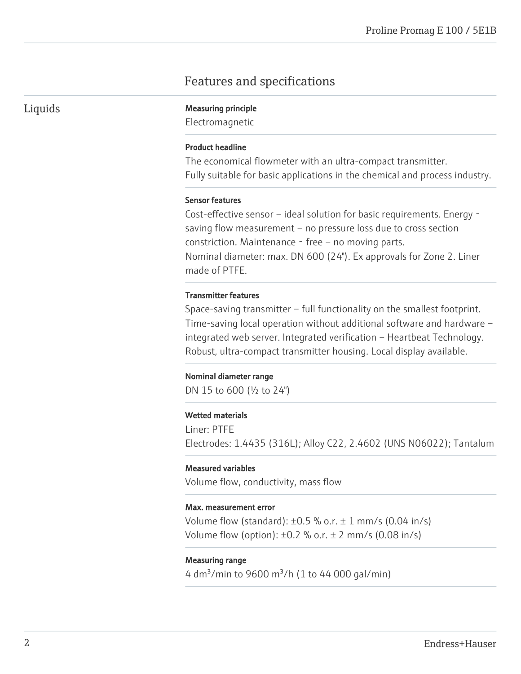# Features and specifications

# Liquids Measuring principle

Electromagnetic

#### Product headline

The economical flowmeter with an ultra-compact transmitter. Fully suitable for basic applications in the chemical and process industry.

#### Sensor features

Cost-effective sensor – ideal solution for basic requirements. Energy‐ saving flow measurement – no pressure loss due to cross section constriction. Maintenance - free – no moving parts. Nominal diameter: max. DN 600 (24"). Ex approvals for Zone 2. Liner made of PTFE.

### Transmitter features

Space-saving transmitter – full functionality on the smallest footprint. Time-saving local operation without additional software and hardware – integrated web server. Integrated verification – Heartbeat Technology. Robust, ultra-compact transmitter housing. Local display available.

#### Nominal diameter range

DN 15 to 600 (½ to 24")

#### Wetted materials

Liner: PTFE Electrodes: 1.4435 (316L); Alloy C22, 2.4602 (UNS N06022); Tantalum

### Measured variables

Volume flow, conductivity, mass flow

### Max. measurement error

Volume flow (standard):  $\pm 0.5$  % o.r.  $\pm$  1 mm/s (0.04 in/s) Volume flow (option):  $\pm 0.2$  % o.r.  $\pm$  2 mm/s (0.08 in/s)

#### Measuring range

4 dm<sup>3</sup>/min to 9600 m<sup>3</sup>/h (1 to 44 000 gal/min)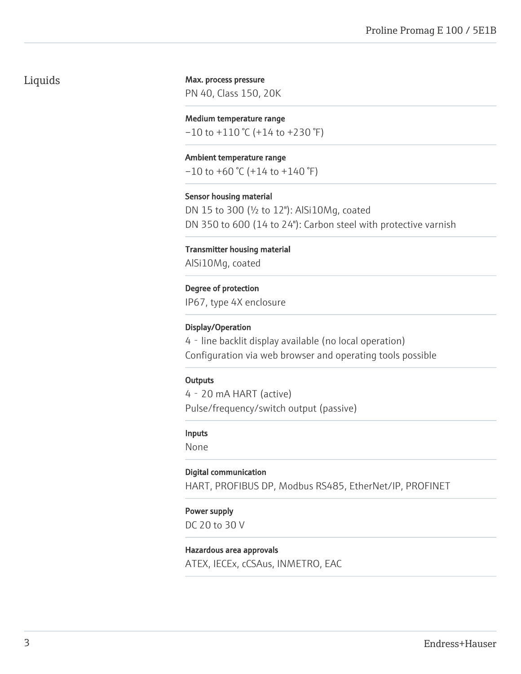# Liquids

### Max. process pressure

PN 40, Class 150, 20K

Medium temperature range  $-10$  to  $+110$  °C ( $+14$  to  $+230$  °F)

Ambient temperature range  $-10$  to  $+60$  °C ( $+14$  to  $+140$  °F)

Sensor housing material DN 15 to 300 (½ to 12"): AlSi10Mg, coated DN 350 to 600 (14 to 24"): Carbon steel with protective varnish

Transmitter housing material AlSi10Mg, coated

Degree of protection IP67, type 4X enclosure

### Display/Operation

4‐line backlit display available (no local operation) Configuration via web browser and operating tools possible

### **Outputs**

4‐20 mA HART (active) Pulse/frequency/switch output (passive)

# Inputs

None

# Digital communication

HART, PROFIBUS DP, Modbus RS485, EtherNet/IP, PROFINET

# Power supply

DC 20 to 30 V

# Hazardous area approvals

ATEX, IECEx, cCSAus, INMETRO, EAC